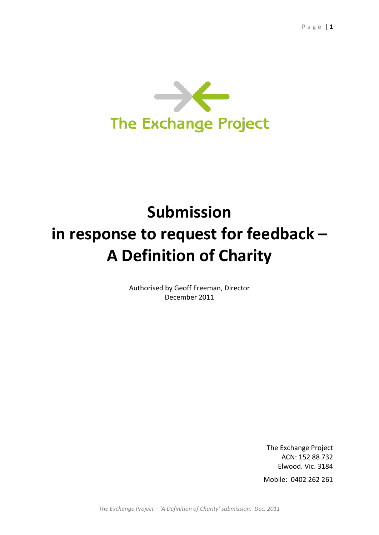

# **Submission in response to request for feedback – A Definition of Charity**

Authorised by Geoff Freeman, Director December 2011

> The Exchange Project ACN: 152 88 732 Elwood. Vic. 3184

Mobile: 0402 262 261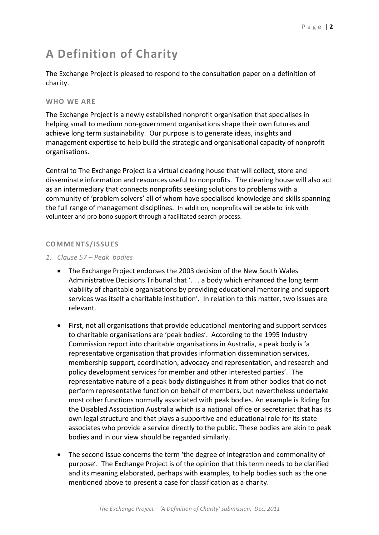# **A Definition of Charity**

The Exchange Project is pleased to respond to the consultation paper on a definition of charity.

## **WHO WE ARE**

The Exchange Project is a newly established nonprofit organisation that specialises in helping small to medium non-government organisations shape their own futures and achieve long term sustainability. Our purpose is to generate ideas, insights and management expertise to help build the strategic and organisational capacity of nonprofit organisations.

Central to The Exchange Project is a virtual clearing house that will collect, store and disseminate information and resources useful to nonprofits. The clearing house will also act as an intermediary that connects nonprofits seeking solutions to problems with a community of 'problem solvers' all of whom have specialised knowledge and skills spanning the full range of management disciplines. In addition, nonprofits will be able to link with volunteer and pro bono support through a facilitated search process.

# **COMMENTS/ISSUES**

- *1. Clause 57 – Peak bodies*
	- The Exchange Project endorses the 2003 decision of the New South Wales Administrative Decisions Tribunal that '. . . a body which enhanced the long term viability of charitable organisations by providing educational mentoring and support services was itself a charitable institution'. In relation to this matter, two issues are relevant.
	- First, not all organisations that provide educational mentoring and support services to charitable organisations are 'peak bodies'. According to the 1995 Industry Commission report into charitable organisations in Australia, a peak body is 'a representative organisation that provides information dissemination services, membership support, coordination, advocacy and representation, and research and policy development services for member and other interested parties'. The representative nature of a peak body distinguishes it from other bodies that do not perform representative function on behalf of members, but nevertheless undertake most other functions normally associated with peak bodies. An example is Riding for the Disabled Association Australia which is a national office or secretariat that has its own legal structure and that plays a supportive and educational role for its state associates who provide a service directly to the public. These bodies are akin to peak bodies and in our view should be regarded similarly.
	- The second issue concerns the term 'the degree of integration and commonality of purpose'. The Exchange Project is of the opinion that this term needs to be clarified and its meaning elaborated, perhaps with examples, to help bodies such as the one mentioned above to present a case for classification as a charity.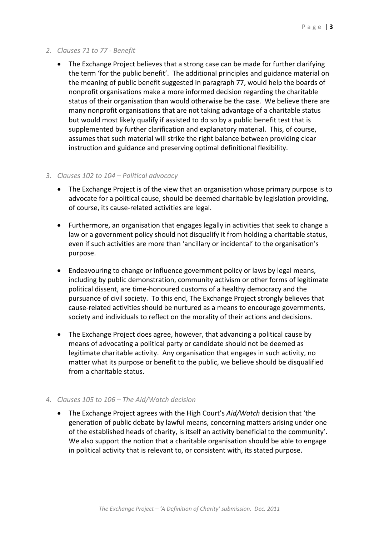## *2. Clauses 71 to 77 - Benefit*

 The Exchange Project believes that a strong case can be made for further clarifying the term 'for the public benefit'. The additional principles and guidance material on the meaning of public benefit suggested in paragraph 77, would help the boards of nonprofit organisations make a more informed decision regarding the charitable status of their organisation than would otherwise be the case. We believe there are many nonprofit organisations that are not taking advantage of a charitable status but would most likely qualify if assisted to do so by a public benefit test that is supplemented by further clarification and explanatory material. This, of course, assumes that such material will strike the right balance between providing clear instruction and guidance and preserving optimal definitional flexibility.

#### *3. Clauses 102 to 104 – Political advocacy*

- The Exchange Project is of the view that an organisation whose primary purpose is to advocate for a political cause, should be deemed charitable by legislation providing, of course, its cause-related activities are legal.
- Furthermore, an organisation that engages legally in activities that seek to change a law or a government policy should not disqualify it from holding a charitable status, even if such activities are more than 'ancillary or incidental' to the organisation's purpose.
- Endeavouring to change or influence government policy or laws by legal means, including by public demonstration, community activism or other forms of legitimate political dissent, are time-honoured customs of a healthy democracy and the pursuance of civil society. To this end, The Exchange Project strongly believes that cause-related activities should be nurtured as a means to encourage governments, society and individuals to reflect on the morality of their actions and decisions.
- The Exchange Project does agree, however, that advancing a political cause by means of advocating a political party or candidate should not be deemed as legitimate charitable activity. Any organisation that engages in such activity, no matter what its purpose or benefit to the public, we believe should be disqualified from a charitable status.

# *4. Clauses 105 to 106 – The Aid/Watch decision*

 The Exchange Project agrees with the High Court's *Aid/Watch* decision that 'the generation of public debate by lawful means, concerning matters arising under one of the established heads of charity, is itself an activity beneficial to the community'. We also support the notion that a charitable organisation should be able to engage in political activity that is relevant to, or consistent with, its stated purpose.